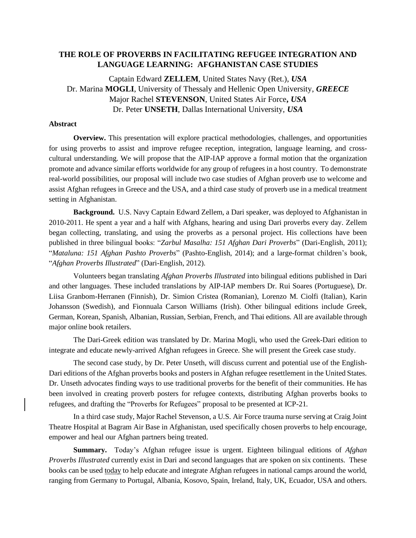## **THE ROLE OF PROVERBS IN FACILITATING REFUGEE INTEGRATION AND LANGUAGE LEARNING: AFGHANISTAN CASE STUDIES**

Captain Edward **ZELLEM**, United States Navy (Ret.), *USA* Dr. Marina **MOGLI**, University of Thessaly and Hellenic Open University, *GREECE* Major Rachel **STEVENSON**, United States Air Force**,** *USA* Dr. Peter **UNSETH**, Dallas International University, *USA* 

## **Abstract**

**Overview.** This presentation will explore practical methodologies, challenges, and opportunities for using proverbs to assist and improve refugee reception, integration, language learning, and crosscultural understanding. We will propose that the AIP-IAP approve a formal motion that the organization promote and advance similar efforts worldwide for any group of refugees in a host country. To demonstrate real-world possibilities, our proposal will include two case studies of Afghan proverb use to welcome and assist Afghan refugees in Greece and the USA, and a third case study of proverb use in a medical treatment setting in Afghanistan.

**Background.** U.S. Navy Captain Edward Zellem, a Dari speaker, was deployed to Afghanistan in 2010-2011. He spent a year and a half with Afghans, hearing and using Dari proverbs every day. Zellem began collecting, translating, and using the proverbs as a personal project. His collections have been published in three bilingual books: "*Zarbul Masalha: 151 Afghan Dari Proverbs*" (Dari-English, 2011); "*Mataluna: 151 Afghan Pashto Proverbs*" (Pashto-English, 2014); and a large-format children's book, "*Afghan Proverbs Illustrated*" (Dari-English, 2012).

Volunteers began translating *Afghan Proverbs Illustrated* into bilingual editions published in Dari and other languages. These included translations by AIP-IAP members Dr. Rui Soares (Portuguese), Dr. Liisa Granbom-Herranen (Finnish), Dr. Simion Cristea (Romanian), Lorenzo M. Ciolfi (Italian), Karin Johansson (Swedish), and Fionnuala Carson Williams (Irish). Other bilingual editions include Greek, German, Korean, Spanish, Albanian, Russian, Serbian, French, and Thai editions. All are available through major online book retailers.

The Dari-Greek edition was translated by Dr. Marina Mogli, who used the Greek-Dari edition to integrate and educate newly-arrived Afghan refugees in Greece. She will present the Greek case study.

The second case study, by Dr. Peter Unseth, will discuss current and potential use of the English-Dari editions of the Afghan proverbs books and posters in Afghan refugee resettlement in the United States. Dr. Unseth advocates finding ways to use traditional proverbs for the benefit of their communities. He has been involved in creating proverb posters for refugee contexts, distributing Afghan proverbs books to refugees, and drafting the "Proverbs for Refugees" proposal to be presented at ICP-21.

In a third case study, Major Rachel Stevenson, a U.S. Air Force trauma nurse serving at Craig Joint Theatre Hospital at Bagram Air Base in Afghanistan, used specifically chosen proverbs to help encourage, empower and heal our Afghan partners being treated.

**Summary.** Today's Afghan refugee issue is urgent. Eighteen bilingual editions of *Afghan Proverbs Illustrated* currently exist in Dari and second languages that are spoken on six continents. These books can be used today to help educate and integrate Afghan refugees in national camps around the world, ranging from Germany to Portugal, Albania, Kosovo, Spain, Ireland, Italy, UK, Ecuador, USA and others.